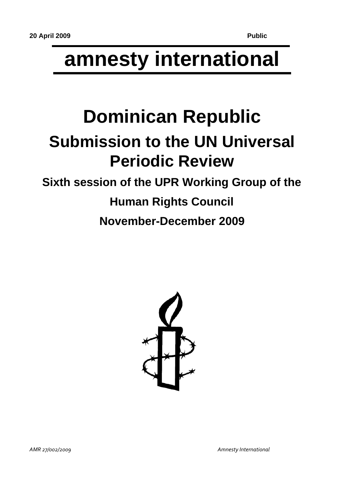# **amnesty international**

## **Dominican Republic Submission to the UN Universal Periodic Review**

### **Sixth session of the UPR Working Group of the**

## **Human Rights Council**

**November-December 2009**

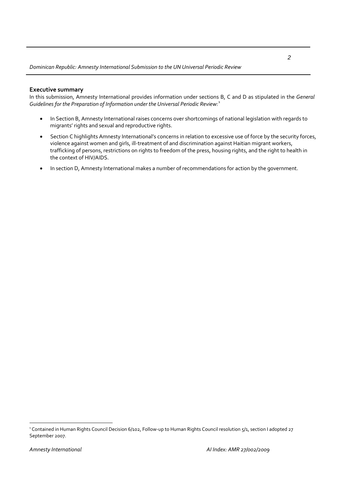#### **Executive summary**

In this submission, Amnesty International provides information under sections B, C and D as stipulated in the *General Guidelines for the Preparation of Information under the Universal Periodic Review:*[1](#page-1-0)

- In Section B, Amnesty International raises concerns over shortcomings of national legislation with regards to migrants' rights and sexual and reproductive rights.
- Section C highlights Amnesty International's concerns in relation to excessive use of force by the security forces, violence against women and girls, ill‐treatment of and discrimination against Haitian migrant workers, trafficking of persons, restrictions on rights to freedom of the press, housing rights, and the right to health in the context of HIV/AIDS.
- In section D, Amnesty International makes a number of recommendations for action by the government.

 $\overline{a}$ 

<span id="page-1-0"></span><sup>1</sup> Contained in Human Rights Council Decision 6/102, Follow‐up to Human Rights Council resolution 5/1, section I adopted 27 September 2007.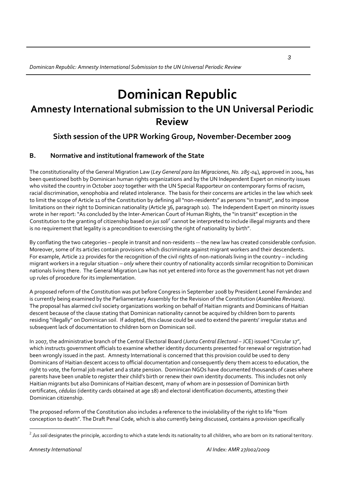### **Dominican Republic Amnesty International submission to the UN Universal Periodic Review**

### **Sixth session of the UPR Working Group, November‐December 2009**

#### **B. Normative and institutional framework of the State**

The constitutionality of the General Migration Law (*Ley General para las Migraciones, No. 285‐04*), approved in 2004, has been questioned both by Dominican human rights organizations and by the UN Independent Expert on minority issues who visited the country in October 2007 together with the UN Special Rapporteur on contemporary forms of racism, racial discrimination, xenophobia and related intolerance. The basis for their concerns are articles in the law which seek to limit the scope of Article 11 of the Constitution by defining all "non-residents" as persons "in transit", and to impose limitations on their right to Dominican nationality (Article 36, paragraph 10). The Independent Expert on minority issues wrote in her report:"As concluded by the Inter‐American Court of Human Rights, the "in transit" exception in the Constitution to the granting of citizenship based on *jus soli[2](#page-2-0)* cannot be interpreted to include illegal migrants and there is no requirement that legality is a precondition to exercising the right of nationality by birth".

By conflating the two categories – people in transit and non‐residents ‐‐ the new law has created considerable confusion. Moreover, some of its articles contain provisions which discriminate against migrant workers and their descendents. For example, Article 22 provides for the recognition of the civil rights of non-nationals living in the country – including migrant workers in a regular situation – *only* where their country of nationality accords similar recognition to Dominican nationals living there. The General Migration Law has not yet entered into force as the government has not yet drawn up rules of procedure for its implementation.

A proposed reform of the Constitution was put before Congress in September 2008 by President Leonel Fernández and is currently being examined by the Parliamentary Assembly for the Revision of the Constitution (*Asamblea Revisora)*. The proposal has alarmed civil society organizations working on behalf of Haitian migrants and Dominicans of Haitian descent because of the clause stating that Dominican nationality cannot be acquired by children born to parents residing "illegally" on Dominican soil. If adopted, this clause could be used to extend the parents' irregular status and subsequent lack of documentation to children born on Dominican soil.

In 2007, the administrative branch of the Central Electoral Board (*Junta Central Electoral* – JCE) issued "Circular 17", which instructs government officials to examine whether identity documents presented for renewal or registration had been wrongly issued in the past. Amnesty International is concerned that this provision could be used to deny Dominicans of Haitian descent access to official documentation and consequently deny them access to education, the right to vote, the formal job market and a state pension. Dominican NGOs have documented thousands of cases where parents have been unable to register their child's birth or renew their own identity documents. This includes not only Haitian migrants but also Dominicans of Haitian descent, many of whom are in possession of Dominican birth certificates, *cédulas* (identity cards obtained at age 18) and electoral identification documents, attesting their Dominican citizenship.

The proposed reform of the Constitution also includes a reference to the inviolability of the right to life "from conception to death". The Draft Penal Code, which is also currently being discussed, contains a provision specifically

 $\overline{a}$ 

<span id="page-2-0"></span><sup>&</sup>lt;sup>2</sup> Jus soli designates the principle, according to which a state lends its nationality to all children, who are born on its national territory.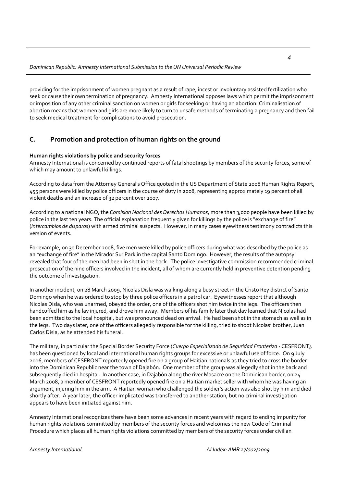providing for the imprisonment of women pregnant as a result of rape, incest or involuntary assisted fertilization who seek or cause their own termination of pregnancy. Amnesty International opposes laws which permit the imprisonment or imposition of any other criminal sanction on women or girls for seeking or having an abortion. Criminalisation of abortion means that women and girls are more likely to turn to unsafe methods of terminating a pregnancy and then fail to seek medical treatment for complications to avoid prosecution.

#### **C. Promotion and protection of human rights on the ground**

#### **Human rights violations by police and security forces**

Amnesty International is concerned by continued reports of fatal shootings by members of the security forces, some of which may amount to unlawful killings.

According to data from the Attorney General's Office quoted in the US Department of State 2008 Human Rights Report, 455 persons were killed by police officers in the course of duty in 2008, representing approximately 19 percent of all violent deaths and an increase of 32 percent over 2007.

According to a national NGO, the *Comision Nacional des Derechos Humanos*, more than 3,000 people have been killed by police in the last ten years. The official explanation frequently given for killings by the police is "exchange of fire" (*intercambios de disparos*) with armed criminal suspects. However, in many cases eyewitness testimony contradicts this version of events.

For example, on 30 December 2008, five men were killed by police officers during what was described by the police as an "exchange of fire" in the Mirador Sur Park in the capital Santo Domingo. However, the results of the autopsy revealed that four of the men had been in shot in the back. The police investigative commission recommended criminal prosecution of the nine officers involved in the incident, all of whom are currently held in preventive detention pending the outcome of investigation.

In another incident, on 28 March 2009, Nicolas Disla was walking along a busy street in the Cristo Rey district of Santo Domingo when he was ordered to stop by three police officers in a patrol car. Eyewitnesses report that although Nicolas Disla, who was unarmed, obeyed the order, one of the officers shot him twice in the legs. The officers then handcuffed him as he lay injured, and drove him away. Members of his family later that day learned that Nicolas had been admitted to the local hospital, but was pronounced dead on arrival. He had been shot in the stomach as well as in the legs. Two days later, one of the officers allegedly responsible for the killing, tried to shoot Nicolas' brother, Juan Carlos Disla, as he attended his funeral.

The military, in particular the Special Border Security Force (*Cuerpo Especializado de Seguridad Fronteriza ‐* CESFRONT*),* has been questioned by local and international human rights groups for excessive or unlawful use of force. On 9 July 2006, members of CESFRONT reportedly opened fire on a group of Haitian nationals as they tried to cross the border into the Dominican Republic near the town of Dajabón. One member of the group was allegedly shot in the back and subsequently died in hospital. In another case, in Dajabón along the river Masacre on the Dominican border, on 24 March 2008, a member of CESFRONT reportedly opened fire on a Haitian market seller with whom he was having an argument, injuring him in the arm. A Haitian woman who challenged the soldier's action was also shot by him and died shortly after. A year later, the officer implicated was transferred to another station, but no criminal investigation appears to have been initiated against him.

Amnesty International recognizes there have been some advances in recent years with regard to ending impunity for human rights violations committed by members of the security forces and welcomes the new Code of Criminal Procedure which places all human rights violations committed by members of the security forces under civilian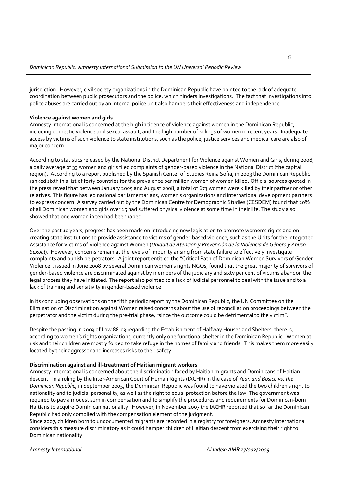jurisdiction. However, civil society organizations in the Dominican Republic have pointed to the lack of adequate coordination between public prosecutors and the police, which hinders investigations. The fact that investigations into police abuses are carried out by an internal police unit also hampers their effectiveness and independence.

#### **Violence against women and girls**

Amnesty International is concerned at the high incidence of violence against women in the Dominican Republic, including domestic violence and sexual assault, and the high number of killings of women in recent years. Inadequate access by victims of such violence to state institutions, such as the police, justice services and medical care are also of major concern.

According to statistics released by the National District Department for Violence against Women and Girls, during 2008, a daily average of 33 women and girls filed complaints of gender‐based violence in the National District (the capital region). According to a report published by the Spanish Center of Studies Reina Sofia, in 2003 the Dominican Republic ranked sixth in a list of forty countries for the prevalence per million women of women killed. Official sources quoted in the press reveal that between January 2005 and August 2008, a total of 673 women were killed by their partner or other relatives. This figure has led national parliamentarians, women's organizations and international development partners to express concern. A survey carried out by the Dominican Centre for Demographic Studies (CESDEM) found that 20% of all Dominican women and girls over 15 had suffered physical violence at some time in their life. The study also showed that one woman in ten had been raped.

Over the past 10 years, progress has been made on introducing new legislation to promote women's rights and on creating state institutions to provide assistance to victims of gender‐based violence, such as the Units for the Integrated Assistance for Victims of Violence against Women (*Unidad de Atención y Prevención de la Violencia de Género y Abuso Sexual*). However, concerns remain at the levels of impunity arising from state failure to effectively investigate complaints and punish perpetrators. A joint report entitled the "Critical Path of Dominican Women Survivors of Gender Violence", issued in June 2008 by several Dominican women's rights NGOs, found that the great majority of survivors of gender‐based violence are discriminated against by members of the judiciary and sixty per cent of victims abandon the legal process they have initiated. The report also pointed to a lack of judicial personnel to deal with the issue and to a lack of training and sensitivity in gender‐based violence.

In its concluding observations on the fifth periodic report by the Dominican Republic, the UN Committee on the Elimination of Discrimination against Women raised concerns about the use of reconciliation proceedings between the perpetrator and the victim during the pre-trial phase, "since the outcome could be detrimental to the victim".

Despite the passing in 2003 of Law 88‐03 regarding the Establishment of Halfway Houses and Shelters, there is, according to women's rights organizations, currently only one functional shelter in the Dominican Republic. Women at risk and their children are mostly forced to take refuge in the homes of family and friends. This makes them more easily located by their aggressor and increases risks to their safety.

#### **Discrimination against and ill‐treatment of Haitian migrant workers**

Amnesty International is concerned about the discrimination faced by Haitian migrants and Dominicans of Haitian descent. In a ruling by the Inter‐American Court of Human Rights (IACHR) in the case of *Yean and Bosico vs. the Dominican Republic,* in September 2005, the Dominican Republic was found to have violated the two children's right to nationality and to judicial personality, as well as the right to equal protection before the law. The government was required to pay a modest sum in compensation and to simplify the procedures and requirements for Dominican‐born Haitians to acquire Dominican nationality. However, in November 2007 the IACHR reported that so far the Dominican Republic had only complied with the compensation element of the judgment.

Since 2007, children born to undocumented migrants are recorded in a registry for foreigners. Amnesty International considers this measure discriminatory as it could hamper children of Haitian descent from exercising their right to Dominican nationality.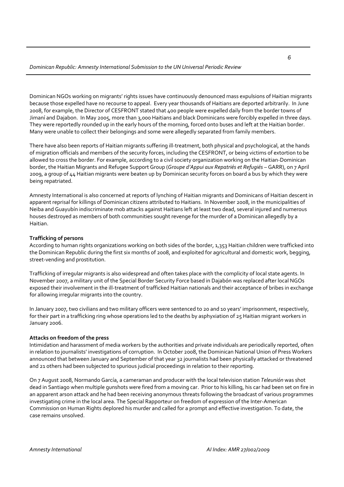Dominican NGOs working on migrants' rights issues have continuously denounced mass expulsions of Haitian migrants because those expelled have no recourse to appeal. Every year thousands of Haitians are deported arbitrarily. In June 2008, for example, the Director of CESFRONT stated that 400 people were expelled daily from the border towns of Jimaní and Dajabon. In May 2005, more than 3,000 Haitians and black Dominicans were forcibly expelled in three days. They were reportedly rounded up in the early hours of the morning, forced onto buses and left at the Haitian border. Many were unable to collect their belongings and some were allegedly separated from family members.

There have also been reports of Haitian migrants suffering ill-treatment, both physical and psychological, at the hands of migration officials and members of the security forces, including the CESFRONT, or being victims of extortion to be allowed to cross the border. For example, according to a civil society organization working on the Haitian‐Dominican border, the Haitian Migrants and Refugee Support Group (*Groupe d'Appui aux Repatriés et Refugiés* – GARR), on 7 April 2009, a group of 44 Haitian migrants were beaten up by Dominican security forces on board a bus by which they were being repatriated.

Amnesty International is also concerned at reports of lynching of Haitian migrants and Dominicans of Haitian descent in apparent reprisal for killings of Dominican citizens attributed to Haitians. In November 2008, in the municipalities of Neiba and Guayubín indiscriminate mob attacks against Haitians left at least two dead, several injured and numerous houses destroyed as members of both communities sought revenge for the murder of a Dominican allegedly by a Haitian.

#### **Trafficking of persons**

According to human rights organizations working on both sides of the border, 1,353 Haitian children were trafficked into the Dominican Republic during the first six months of 2008, and exploited for agricultural and domestic work, begging, street-vending and prostitution.

Trafficking of irregular migrants is also widespread and often takes place with the complicity of local state agents. In November 2007, a military unit of the Special Border Security Force based in Dajabón was replaced after local NGOs exposed their involvement in the ill-treatment of trafficked Haitian nationals and their acceptance of bribes in exchange for allowing irregular migrants into the country.

In January 2007, two civilians and two military officers were sentenced to 20 and 10 years' imprisonment, respectively, for their part in a trafficking ring whose operations led to the deaths by asphyxiation of 25 Haitian migrant workers in January 2006.

#### **Attacks on freedom of the press**

Intimidation and harassment of media workers by the authorities and private individuals are periodically reported, often in relation to journalists' investigations of corruption. In October 2008, the Dominican National Union of Press Workers announced that between January and September of that year 32 journalists had been physically attacked or threatened and 21 others had been subjected to spurious judicial proceedings in relation to their reporting.

On 7 August 2008, Normando García, a cameraman and producer with the local television station *Teleunión* was shot dead in Santiago when multiple gunshots were fired from a moving car. Prior to his killing, his car had been set on fire in an apparent arson attack and he had been receiving anonymous threats following the broadcast of various programmes investigating crime in the local area. The Special Rapporteur on freedom of expression of the Inter‐American Commission on Human Rights deplored his murder and called for a prompt and effective investigation. To date, the case remains unsolved.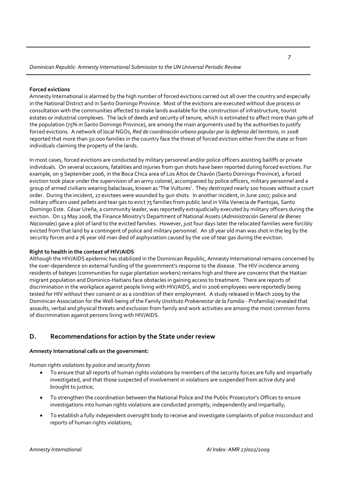#### **Forced evictions**

Amnesty International is alarmed by the high number of forced evictions carried out all over the country and especially in the National District and in Santo Domingo Province. Most of the evictions are executed without due process or consultation with the communities affected to make lands available for the construction of infrastructure, tourist estates or industrial complexes. The lack of deeds and security of tenure, which is estimated to affect more than 50% of the population (75% in Santo Domingo Province), are among the main arguments used by the authorities to justify forced evictions. A network of local NGOs, *Red de coordinación urbano popular por la defensa del territorio,* in 2008 reported that more than 50.000 families in the country face the threat of forced eviction either from the state or from individuals claiming the property of the lands.

In most cases, forced evictions are conducted by military personnel and/or police officers assisting bailiffs or private individuals. On several occasions, fatalities and injuries from gun shots have been reported during forced evictions. For example, on 9 September 2006, in the Boca Chica area of Los Altos de Chavón (Santo Domingo Province), a forced eviction took place under the supervision of an army colonel, accompanied by police officers, military personnel and a group of armed civilians wearing balaclavas, known as 'The Vultures'. They destroyed nearly 100 houses without a court order. During the incident, 27 evictees were wounded by gun shots. In another incident, in June 2007, police and military officers used pellets and tear gas to evict 75 families from public land in Villa Venecia de Pantojas, Santo Domingo Este. César Ureña, a community leader, was reportedly extrajudicially executed by military officers during the eviction. On 13 May 2008, the Finance Ministry's Department of National Assets (*Administración General de Bienes Nacionales*) gave a plot of land to the evicted families. However, just four days later the relocated families were forcibly evicted from that land by a contingent of police and military personnel. An 18 year old man was shot in the leg by the security forces and a 76 year old man died of asphyxiation caused by the use of tear gas during the eviction.

#### **Right to health in the context of HIV/AIDS**

Although the HIV/AIDS epidemic has stabilized in the Dominican Republic, Amnesty International remains concerned by the over‐dependence on external funding of the government's response to the disease. The HIV incidence among residents of *bateyes* (communities for sugar plantation workers) remains high and there are concerns that the Haitian migrant population and Dominico‐Haitians face obstacles in gaining access to treatment. There are reports of discrimination in the workplace against people living with HIV/AIDS, and in 2006 employees were reportedly being tested for HIV without their consent or as a condition of their employment. A study released in March 2009 by the Dominican Association for the Well‐being of the Family (*Instituto Probienestar de la Familia* ‐ Profamilia) revealed that assaults, verbal and physical threats and exclusion from family and work activities are among the most common forms of discrimination against persons living with HIV/AIDS.

#### **D. Recommendations for action by the State under review**

#### **Amnesty International calls on the government:**

*Human rights violations by police and security forces*

- To ensure that all reports of human rights violations by members of the security forces are fully and impartially investigated, and that those suspected of involvement in violations are suspended from active duty and brought to justice;
- To strengthen the coordination between the National Police and the Public Prosecutor's Offices to ensure investigations into human rights violations are conducted promptly, independently and impartially;
- To establish a fully independent oversight body to receive and investigate complaints of police misconduct and reports of human rights violations;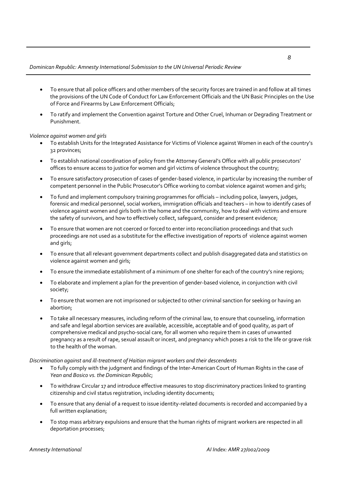#### *Dominican Republic: Amnesty International Submission to the UN Universal Periodic Review*

- To ensure that all police officers and other members of the security forces are trained in and follow at all times the provisions of the UN Code of Conduct for Law Enforcement Officials and the UN Basic Principles on the Use of Force and Firearms by Law Enforcement Officials;
- To ratify and implement the Convention against Torture and Other Cruel, Inhuman or Degrading Treatment or Punishment.

#### *Violence against women and girls*

- To establish Units for the Integrated Assistance for Victims of Violence against Women in each of the country's 32 provinces;
- To establish national coordination of policy from the Attorney General's Office with all public prosecutors' offices to ensure access to justice for women and girl victims of violence throughout the country;
- To ensure satisfactory prosecution of cases of gender-based violence, in particular by increasing the number of competent personnel in the Public Prosecutor's Office working to combat violence against women and girls;
- To fund and implement compulsory training programmes for officials including police, lawyers, judges, forensic and medical personnel, social workers, immigration officials and teachers – in how to identify cases of violence against women and girls both in the home and the community, how to deal with victims and ensure the safety of survivors, and how to effectively collect, safeguard, consider and present evidence;
- To ensure that women are not coerced or forced to enter into reconciliation proceedings and that such proceedings are not used as a substitute for the effective investigation of reports of violence against women and girls;
- To ensure that all relevant government departments collect and publish disaggregated data and statistics on violence against women and girls;
- To ensure the immediate establishment of a minimum of one shelter for each of the country's nine regions;
- To elaborate and implement a plan for the prevention of gender‐based violence, in conjunction with civil society;
- To ensure that women are not imprisoned or subjected to other criminal sanction for seeking or having an abortion;
- To take all necessary measures, including reform of the criminal law, to ensure that counseling, information and safe and legal abortion services are available, accessible, acceptable and of good quality, as part of comprehensive medical and psycho‐social care, for all women who require them in cases of unwanted pregnancy as a result of rape, sexual assault or incest, and pregnancy which poses a risk to the life or grave risk to the health of the woman.

#### *Discrimination against and ill‐treatment of Haitian migrant workers and their descendents*

- To fully comply with the judgment and findings of the Inter‐American Court of Human Rights in the case of *Yean and Bosico vs. the Dominican Republic*;
- To withdraw Circular 17 and introduce effective measures to stop discriminatory practices linked to granting citizenship and civil status registration, including identity documents;
- To ensure that any denial of a request to issue identity-related documents is recorded and accompanied by a full written explanation;
- To stop mass arbitrary expulsions and ensure that the human rights of migrant workers are respected in all deportation processes;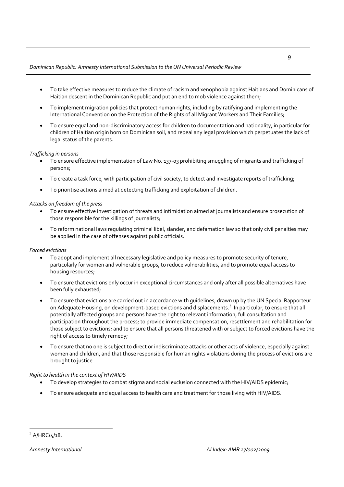#### *Dominican Republic: Amnesty International Submission to the UN Universal Periodic Review*

- To take effective measures to reduce the climate of racism and xenophobia against Haitians and Dominicans of Haitian descent in the Dominican Republic and put an end to mob violence against them;
- To implement migration policies that protect human rights, including by ratifying and implementing the International Convention on the Protection of the Rights of all Migrant Workers and Their Families;
- To ensure equal and non-discriminatory access for children to documentation and nationality, in particular for children of Haitian origin born on Dominican soil, and repeal any legal provision which perpetuates the lack of legal status of the parents.

#### *Trafficking in persons*

- To ensure effective implementation of Law No. 137‐03 prohibiting smuggling of migrants and trafficking of persons;
- To create a task force, with participation of civil society, to detect and investigate reports of trafficking;
- To prioritise actions aimed at detecting trafficking and exploitation of children.

#### *Attacks on freedom of the press*

- To ensure effective investigation of threats and intimidation aimed at journalists and ensure prosecution of those responsible for the killings of journalists;
- To reform national laws regulating criminal libel, slander, and defamation law so that only civil penalties may be applied in the case of offenses against public officials.

#### *Forced evictions*

- To adopt and implement all necessary legislative and policy measures to promote security of tenure, particularly for women and vulnerable groups, to reduce vulnerabilities, and to promote equal access to housing resources;
- To ensure that evictions only occur in exceptional circumstances and only after all possible alternatives have been fully exhausted;
- To ensure that evictions are carried out in accordance with guidelines, drawn up by the UN Special Rapporteur on Adequate Housing, on development-based evictions and displacements.<sup>[3](#page-8-0)</sup> In particular, to ensure that all potentially affected groups and persons have the right to relevant information, full consultation and participation throughout the process; to provide immediate compensation, resettlement and rehabilitation for those subject to evictions; and to ensure that all persons threatened with or subject to forced evictions have the right of access to timely remedy;
- To ensure that no one is subject to direct or indiscriminate attacks or other acts of violence, especially against women and children, and that those responsible for human rights violations during the process of evictions are brought to justice.

#### *Right to health in the context of HIV/AIDS*

- To develop strategies to combat stigma and social exclusion connected with the HIV/AIDS epidemic;
- <span id="page-8-0"></span>• To ensure adequate and equal access to health care and treatment for those living with HIV/AIDS.